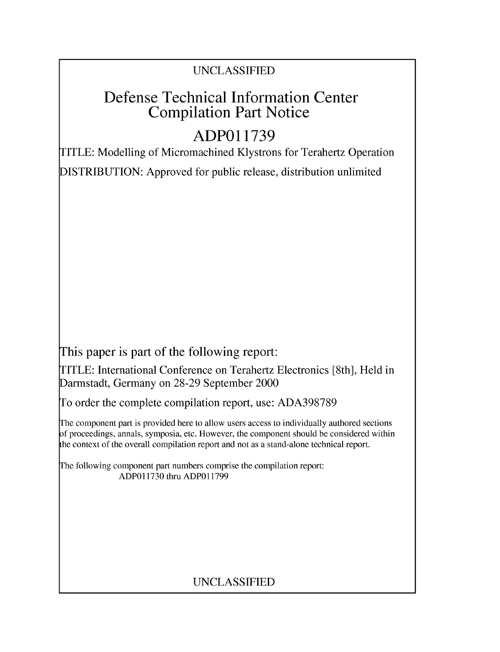## UNCLASSIFIED

## Defense Technical Information Center Compilation Part Notice

# **ADPO1 1739**

TITLE: Modelling of Micromachined Klystrons for Terahertz Operation DISTRIBUTION: Approved for public release, distribution unlimited

This paper is part of the following report:

TITLE: International Conference on Terahertz Electronics [8th], Held in Darmstadt, Germany on 28-29 September 2000

To order the complete compilation report, use: ADA398789

The component part is provided here to allow users access to individually authored sections f proceedings, annals, symposia, etc. However, the component should be considered within [he context of the overall compilation report and not as a stand-alone technical report.

The following component part numbers comprise the compilation report: ADPO11730 thru ADP011799

## UNCLASSIFIED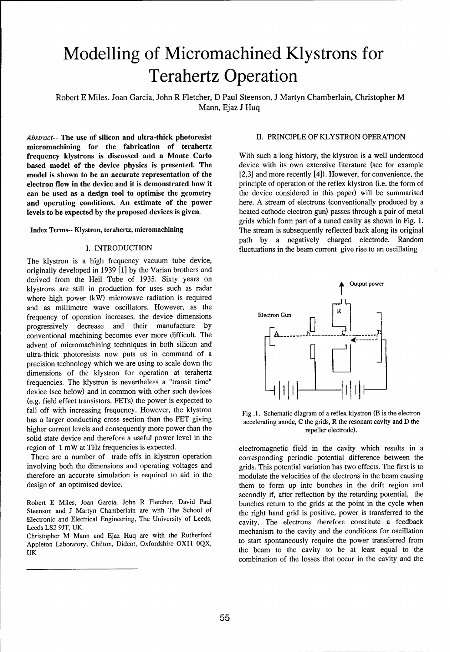# Modelling of Micromachined Klystrons for Terahertz Operation

Robert E Miles. Joan Garcia, John R Fletcher, D Paul Steenson, J Martyn Chamberlain, Christopher M Mann, Ejaz J Huq

*Abstract--* The use of silicon and ultra-thick photoresist II. PRINCIPLE OF KLYSTRON OPERATION micromachining for the fabrication of terahertz frequency klystrons is discussed and a Monte Carlo With such a long history, the klystron is a well understood based model of the device physics is presented. The device with its own extensive literature (see for example model is shown to be an accurate representation of the [2,3] and more recently [4]). However, for convenience, t model is shown to be an accurate representation of the  $[2,3]$  and more recently [4]). However, for convenience, the electron flow in the device and it is demonstrated how it principle of operation of the reflex klystron electron flow in the device and it is demonstrated how it principle of operation of the reflex klystron (i.e. the form of can be used as a design tool to optimise the geometry the device considered in this paper) will be s can be used as a design tool to optimise the geometry and operating conditions. An estimate of the power here. A stream of electrons (conventionally produced by a<br>levels to be expected by the proposed devices is given. heated cathode electron gun) passes through a pair of met levels to be expected by the proposed devices is given.

The klystron is a high frequency vacuum tube device, originally developed in 1939 **[1]** by the Varian brothers and derived from the Heil Tube of 1935. Sixty years on klystrons are still in production for uses such as radar **A** Output power where high power (kW) microwave radiation is required and as millimetre wave oscillators. However, as the frequency of operation increases, the device dimensions Electron Gun progressively decrease and their manufacture by conventional machining becomes ever more difficult. The advent of micromachining techniques in both silicon and ultra-thick photoresists now puts us in command of a precision technology which we are using to scale down the dimensions of the klystron for operation at terahertz frequencies. The klystron is nevertheless a "transit time" device (see below) and in common with other such devices (e.g. field effect transistors, FETs) the power is expected to fall off with increasing frequency. However, the klystron Fig.1. Schematic diagram of a reflex klystron (B is the electron has a larger conducting cross section than the FET giving accelerating anode, C the grids, R the resonant cavity and D the higher current levels and consequently more power than the repeller electrode). solid state device and therefore a useful power level in the region of 1 mW at THz frequencies is expected. electromagnetic field in the cavity which results in a

involving both the dimensions and operating voltages and grids. This potential variation has two effects. The first is to therefore an accurate simulation is required to aid in the modulate the velocities of the electrons in the beam causing

Steenson and J Martyn Chamberlain are with The School of the right hand grid is positive, power is transferred to the Electronic and Electrical Engineering, The University of Leeds, cavity. The electrons therefore constitute a feedback Leeds LS2 9JT, UK.

Appleton Laboratory, Chilton, Didcot, Oxfordshire OX11 0QX, UK the beam to the cavity to be at least equal to the

grids which form part of a tuned cavity as shown in Fig. 1. Index Terms-- Klystron, terahertz, micromachining The stream is subsequently reflected back along its original path by a negatively charged electrode. Random I. INTRODUCTION fluctuations in the beam current give rise to an oscillating



There are a number of trade-offs in klystron operation corresponding periodic potential difference between the design of an optimised device. them to form up into bunches in the drift region and secondly if, after reflection by the retarding potential, the Robert E Miles, Joan Garcia, John R Fletcher, David Paul bunches return to the grids at the point in the cycle when Leeds LS2 911, UK.<br>Christopher M Mann and Ejaz Huq are with the Rutherford mechanism to the cavity and the conditions for oscillation<br>Christopher M Mann and Ejaz Huq are with the Rutherford to start spontaneously require t combination of the losses that occur in the cavity and the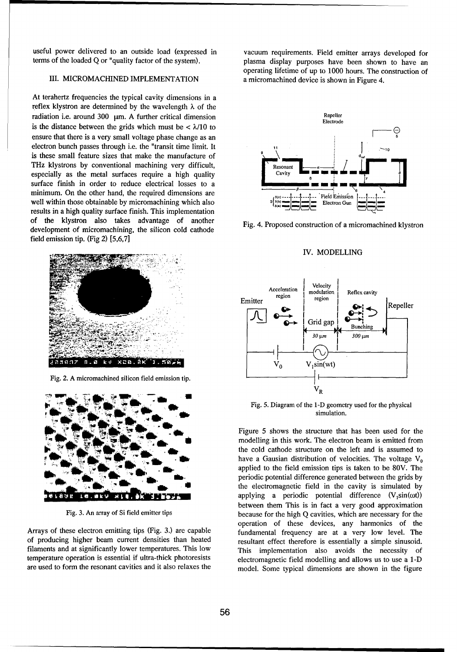useful power delivered to an outside load (expressed in vacuum requirements. Field emitter arrays developed for

At terahertz frequencies the typical cavity dimensions in a reflex klystron are determined by the wavelength  $\lambda$  of the radiation i.e. around  $300 \mu m$ . A further critical dimension is the distance between the grids which must be < X/10 to **G** ensure that there is a very small voltage phase change as an electron bunch passes through i.e. the "transit time limit. It is these small feature sizes that make the manufacture of THz klystrons by conventional machining very difficult,  $\left\| \right\|$  Resonant especially as the metal surfaces require a high quality **SM CALL CAVITS** surface finish in order to reduce electrical losses to a minimum. On the other hand, the required dimensions are  $\overline{\qquad \qquad \qquad }$ <sup>9</sup> well within those obtainable by micromachining which also  $\frac{1}{2}$   $\frac{1}{2}$  Electron Gun results in a high quality surface finish. This implementation of the klystron also takes advantage of another Fig. 4. Proposed construction of a micromachined klystron development of micromachining, the silicon cold cathode field emission tip. (Fig 2) [5,6,7]



Fig. 2. A micromachined silicon field emission tip.



temperature operation is essential if ultra-thick photoresists electromagnetic field modelling and allows us to use a 1-D

terms of the loaded Q or "quality factor of the system). plasma display purposes have been shown to have an operating lifetime of up to 1000 hours. The construction of III. MICROMACHINED IMPLEMENTATION a micromachined device is shown in Figure 4.



### IV. MODELLING



Fig. 5. Diagram of the 1-D geometry used for the physical simulation.

Figure 5 shows the structure that has been used for the **V.** modelling in this work. The electron beam is emitted from the cold cathode structure on the left and is assumed to have a Gausian distribution of velocities. The voltage V<sub>0</sub> applied to the field emission tips is taken to be 80V. The periodic potential difference generated between the grids by the electromagnetic field in the cavity is simulated by applying a periodic potential difference  $(V_1\sin(\omega t))$ between them This is in fact a very good approximation Fig. 3. An array of Si field emitter tips because for the high Q cavities, which are necessary for the operation of these devices, any harmonics of the Arrays of these electron emitting tips (Fig. 3.) are capable fundamental frequency are at a very low level. The of producing higher beam current densities than heated resultant effect therefore is essentially a simple sinusoid. filaments and at significantly lower temperatures. This low This implementation also avoids the necessity of are used to form the resonant cavities and it also relaxes the model. Some typical dimensions are shown in the figure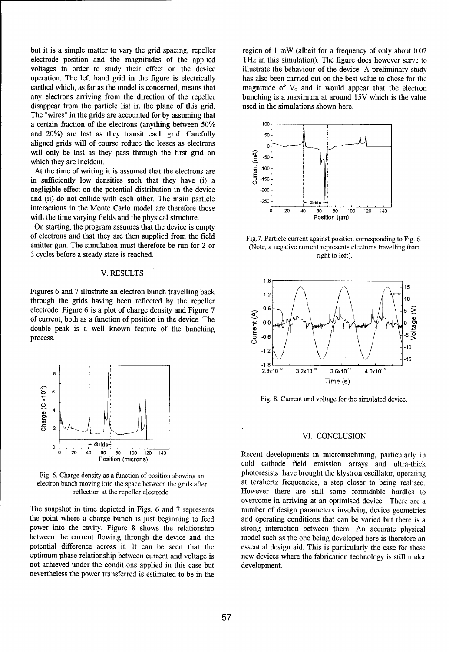but it is a simple matter to vary the grid spacing, repeller region of 1 mW (albeit for a frequency of only about 0.02<br>electrode position and the magnitudes of the applied THz in this simulation). The figure does however s electrode position and the magnitudes of the applied THz in this simulation). The figure does however serve to voltages in order to study their effect on the device illustrate the behaviour of the device. A preliminary stu operation. The left hand grid in the figure is electrically has also been carried out on the best value to chose for the earthed which, as far as the model is concerned, means that magnitude of  $V_0$  and it would appear that the electron any electrons arriving from the direction of the repeller bunching is a maximum at around **15V** which is the value disappear from the particle list in the plane of this grid. used in the simulations shown here. The "wires" in the grids are accounted for by assuming that a certain fraction of the electrons (anything between 50% **locuments** 100 and 20%) are lost as they transit each grid. Carefully **50** aligned grids will of course reduce the losses as electrons **0** will only be lost as they pass through the first grid on which they are incident.<br>At the time of writing it is assumed that the electrons are<br>in sufficiently low densities such that they have (i) a<br> $\frac{1}{5}$  -150 which they are incident.

At the time of writing it is assumed that the electrons are in sufficiently low densities such that they have (i) a  $\bar{5}$ <sup>-150</sup> negligible effect on the potential distribution in the device -200 and (ii) do not collide with each other. The main particle  $\frac{1}{250}$ interactions in the Monte Carlo model are therefore those  $\frac{1}{\sqrt{20}} \times \frac{1}{40} \times \frac{1}{60} \times \frac{1}{60} \times \frac{1}{100} \times \frac{1}{120} \times \frac{1}{140}$ with the time varying fields and the physical structure.  $\blacksquare$  Position ( $\mu$ m)

On starting, the program assumes that the device is empty of electrons and that they are then supplied from the field Fig.7. Particle current against position corresponding to Fig. 6. emitter gun. The simulation must therefore be run for 2 or (Note; a negative current represents electrons travelling from 3 cycles before a steady state is reached. The right to left). The right to left).

### V. RESULTS

through the grids having been reflected by the repeller electrode Figure 6 is a plot of charge density and Figure 7  $\sim 0.6$ electrode. Figure 6 is a plot of charge density and Figure 7<br>of current, both as a function of position in the device. The<br>double peak is a well known feature of the bunching<br>process. electrode. Figure 6 is a plot of charge density and Figure 7<br>of current, both as a function of position in the device. The<br>double peak is a well known feature of the bunching<br> $\sum_{k=0}^{10}$ double peak is a well known feature of the bunching process.  $\frac{1}{2}$  -0.6  $\frac{1}{2}$  -0.6  $\frac{1}{2}$   $\frac{1}{2}$   $\frac{1}{2}$   $\frac{1}{2}$   $\frac{1}{2}$ 



the point where a charge bunch is just beginning to feed and operating conditions that can be varied but there is a power into the cavity. Figure 8 shows the relationship strong interaction between them. An accurate physical between the current flowing through the device and the model such as the one being developed here is therefore an potential difference across it. It can be seen that the essential design aid. This is particularly the case for these uptimum phase relationship between current and voltage is new devices where the fabrication technology is still under not achieved under the conditions applied in this case but development. nevertheless the power transferred is estimated to be in the

illustrate the behaviour of the device. A preliminary study





Fig. 8. Current and voltage for the simulated device.

## VI. CONCLUSION

 $\overline{0}$  **20** 40 **60 80 100 120 140**<br>Position (microns) **Recent developments in micromachining, particularly in** cold cathode field emission arrays and ultra-thick Fig. 6. Charge density as a function of position showing an photoresists have brought the klystron oscillator, operating electron bunch moving into the space between the grids after at terahertz frequencies, a step closer to being realised. reflection at the repeller electrode. However there are still some formidable hurdles to overcome in arriving at an optimised device. There are a The snapshot in time depicted in Figs. 6 and 7 represents number of design parameters involving device geometries